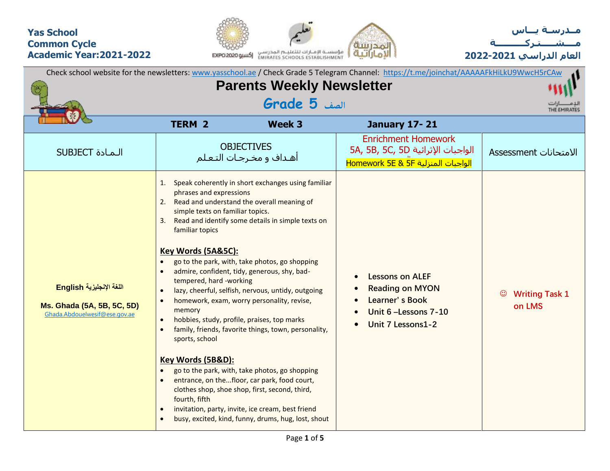### **Yas School Common Cycle Academic Year:2021-2022**





**العام الدراسي 2022-2021**

| Check school website for the newsletters: www.yasschool.ae / Check Grade 5 Telegram Channel: https://t.me/joinchat/AAAAAFkHiLkU9WwcH5rCAw |                                                                                                                                                                                                                                                                                                                    |                                                                                                                                                                                                                                                                                                                                                                                                                                                                                                                                                                                                                                                                                      |                                                                                                                  |                                            |  |
|-------------------------------------------------------------------------------------------------------------------------------------------|--------------------------------------------------------------------------------------------------------------------------------------------------------------------------------------------------------------------------------------------------------------------------------------------------------------------|--------------------------------------------------------------------------------------------------------------------------------------------------------------------------------------------------------------------------------------------------------------------------------------------------------------------------------------------------------------------------------------------------------------------------------------------------------------------------------------------------------------------------------------------------------------------------------------------------------------------------------------------------------------------------------------|------------------------------------------------------------------------------------------------------------------|--------------------------------------------|--|
|                                                                                                                                           | <b>Parents Weekly Newsletter</b>                                                                                                                                                                                                                                                                                   |                                                                                                                                                                                                                                                                                                                                                                                                                                                                                                                                                                                                                                                                                      |                                                                                                                  |                                            |  |
|                                                                                                                                           | الصف <b>5 Grade</b>                                                                                                                                                                                                                                                                                                |                                                                                                                                                                                                                                                                                                                                                                                                                                                                                                                                                                                                                                                                                      |                                                                                                                  | THE EMIRATES                               |  |
|                                                                                                                                           | <b>TERM 2</b>                                                                                                                                                                                                                                                                                                      | Week 3                                                                                                                                                                                                                                                                                                                                                                                                                                                                                                                                                                                                                                                                               | <b>January 17-21</b>                                                                                             |                                            |  |
| <b>SUBJECT</b> المادة                                                                                                                     |                                                                                                                                                                                                                                                                                                                    | <b>OBJECTIVES</b><br>أهـداف و مخـرجـات التـعـلم                                                                                                                                                                                                                                                                                                                                                                                                                                                                                                                                                                                                                                      | <b>Enrichment Homework</b><br>5A, 5B, 5C, 5D الواجبات الإثرائية<br>الواجبات المنزلية Homework 5E & 5F            | الامتحانات Assessment                      |  |
| اللغة الإنجليزية English<br>Ms. Ghada (5A, 5B, 5C, 5D)<br>Ghada.Abdouelwesif@ese.gov.ae                                                   | 1.<br>phrases and expressions<br>2. Read and understand the overall meaning of<br>simple texts on familiar topics.<br>3.<br>familiar topics<br>Key Words (5A&5C):<br>tempered, hard -working<br>$\bullet$<br>memory<br>$\bullet$<br>$\bullet$<br>sports, school<br>Key Words (5B&D):<br>$\bullet$<br>fourth, fifth | Speak coherently in short exchanges using familiar<br>Read and identify some details in simple texts on<br>go to the park, with, take photos, go shopping<br>admire, confident, tidy, generous, shy, bad-<br>lazy, cheerful, selfish, nervous, untidy, outgoing<br>homework, exam, worry personality, revise,<br>hobbies, study, profile, praises, top marks<br>family, friends, favorite things, town, personality,<br>go to the park, with, take photos, go shopping<br>entrance, on thefloor, car park, food court,<br>clothes shop, shoe shop, first, second, third,<br>invitation, party, invite, ice cream, best friend<br>busy, excited, kind, funny, drums, hug, lost, shout | <b>Lessons on ALEF</b><br><b>Reading on MYON</b><br>Learner's Book<br>Unit 6 - Lessons 7-10<br>Unit 7 Lessons1-2 | <b>Writing Task 1</b><br>$\odot$<br>on LMS |  |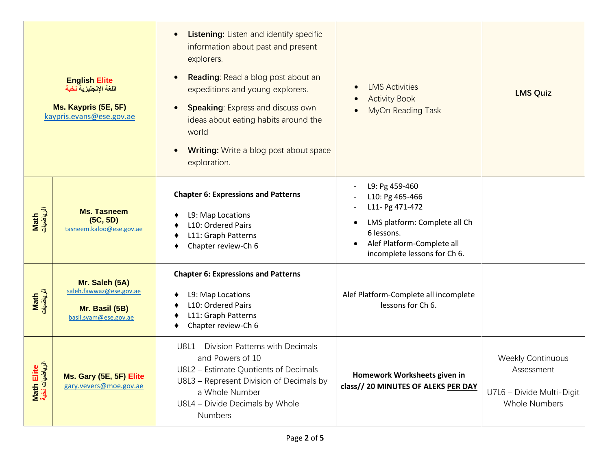| <b>English Elite</b><br>اللغة الإنجليزية نخبة<br>Ms. Kaypris (5E, 5F)<br>kaypris.evans@ese.gov.ae |                                                                                      | <b>Listening: Listen and identify specific</b><br>information about past and present<br>explorers.<br><b>Reading:</b> Read a blog post about an<br>$\bullet$<br>expeditions and young explorers.<br><b>Speaking: Express and discuss own</b><br>$\bullet$<br>ideas about eating habits around the<br>world<br><b>Writing:</b> Write a blog post about space<br>exploration. | <b>LMS Activities</b><br><b>Activity Book</b><br>MyOn Reading Task                                                                                                | <b>LMS Quiz</b>                                                                             |
|---------------------------------------------------------------------------------------------------|--------------------------------------------------------------------------------------|-----------------------------------------------------------------------------------------------------------------------------------------------------------------------------------------------------------------------------------------------------------------------------------------------------------------------------------------------------------------------------|-------------------------------------------------------------------------------------------------------------------------------------------------------------------|---------------------------------------------------------------------------------------------|
| Math<br>الرياضيات                                                                                 | <b>Ms. Tasneem</b><br>(5C, 5D)<br>tasneem.kaloo@ese.gov.ae                           | <b>Chapter 6: Expressions and Patterns</b><br>L9: Map Locations<br>L10: Ordered Pairs<br>L11: Graph Patterns<br>Chapter review-Ch 6                                                                                                                                                                                                                                         | L9: Pg 459-460<br>L10: Pg 465-466<br>L11- Pg 471-472<br>LMS platform: Complete all Ch<br>6 lessons.<br>Alef Platform-Complete all<br>incomplete lessons for Ch 6. |                                                                                             |
| Math<br>الرياضيات                                                                                 | Mr. Saleh (5A)<br>saleh.fawwaz@ese.gov.ae<br>Mr. Basil (5B)<br>basil.syam@ese.gov.ae | <b>Chapter 6: Expressions and Patterns</b><br>L9: Map Locations<br>L10: Ordered Pairs<br>L11: Graph Patterns<br>Chapter review-Ch 6                                                                                                                                                                                                                                         | Alef Platform-Complete all incomplete<br>lessons for Ch 6.                                                                                                        |                                                                                             |
| Math Elite<br>الرياضيات نخبة                                                                      | Ms. Gary (5E, 5F) Elite<br>gary.vevers@moe.gov.ae                                    | U8L1 - Division Patterns with Decimals<br>and Powers of 10<br>U8L2 - Estimate Quotients of Decimals<br>U8L3 - Represent Division of Decimals by<br>a Whole Number<br>U8L4 - Divide Decimals by Whole<br><b>Numbers</b>                                                                                                                                                      | Homework Worksheets given in<br>class// 20 MINUTES OF ALEKS PER DAY                                                                                               | <b>Weekly Continuous</b><br>Assessment<br>U7L6 - Divide Multi-Digit<br><b>Whole Numbers</b> |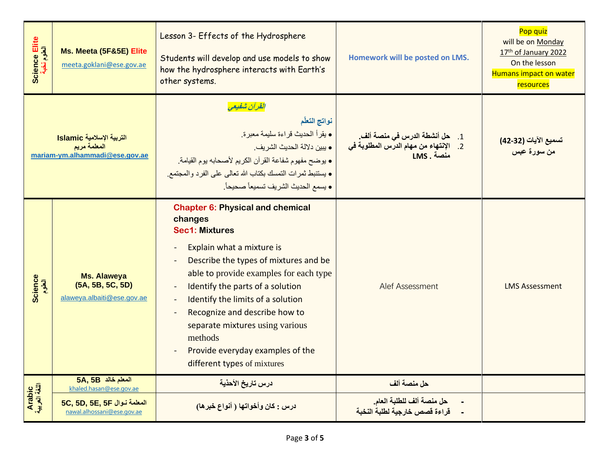| Science Elite<br>العلوم نخبة | Ms. Meeta (5F&5E) Elite<br>meeta.goklani@ese.gov.ae                         | Lesson 3- Effects of the Hydrosphere<br>Students will develop and use models to show<br>how the hydrosphere interacts with Earth's<br>other systems.                                                                                                                                                                                                                                                                   | Homework will be posted on LMS.                            | Pop quiz<br>will be on Monday<br>17th of January 2022<br>On the lesson<br>Humans impact on water<br>resources |
|------------------------------|-----------------------------------------------------------------------------|------------------------------------------------------------------------------------------------------------------------------------------------------------------------------------------------------------------------------------------------------------------------------------------------------------------------------------------------------------------------------------------------------------------------|------------------------------------------------------------|---------------------------------------------------------------------------------------------------------------|
|                              | التربية الإسلامية Islamic<br>المعلمة مريم<br>mariam-ym.alhammadi@ese.gov.ae | القرآن شفيعي<br>نواتج التعلّم<br>• يقرأ الحديث قراءة سليمة معبرة.<br>• يبين دلالة الحديث الشريف.<br>• يوضح مفهوم شفاعة القرآن الكريم لأصحابه يوم القيامة.<br>• يستنبط ثمرات التمسك بكتاب الله تعالى على الفرد والمجتمع.<br>• يسمع الحديث الشريف تسميعاً صحيحاً.                                                                                                                                                        | LMS. منصة                                                  | تسميع الآيات (32-42)<br>من سورة عبس                                                                           |
| Science<br>العلوم            | <b>Ms. Alaweya</b><br>(5A, 5B, 5C, 5D)<br>alaweya.albaiti@ese.gov.ae        | <b>Chapter 6: Physical and chemical</b><br>changes<br><b>Sec1: Mixtures</b><br>Explain what a mixture is<br>Describe the types of mixtures and be<br>able to provide examples for each type<br>Identify the parts of a solution<br>Identify the limits of a solution<br>Recognize and describe how to<br>separate mixtures using various<br>methods<br>Provide everyday examples of the<br>different types of mixtures | Alef Assessment                                            | <b>LMS Assessment</b>                                                                                         |
|                              | 5A, 5B المعلم خالد<br>khaled.hasan@ese.gov.ae                               | درس تاريخ الأحذية                                                                                                                                                                                                                                                                                                                                                                                                      | حل منصة ألف                                                |                                                                                                               |
| Arabic<br>اللغة العربية      | 5C, 5D, 5E, 5F المعلمة نوال<br>nawal.alhossani@ese.gov.ae                   | درس : كان وأخواتها ( أنواع خبر ها)                                                                                                                                                                                                                                                                                                                                                                                     | حل منصة ألف للطلبة العام.<br>قراءة قصص خارجية لطلبة النخبة |                                                                                                               |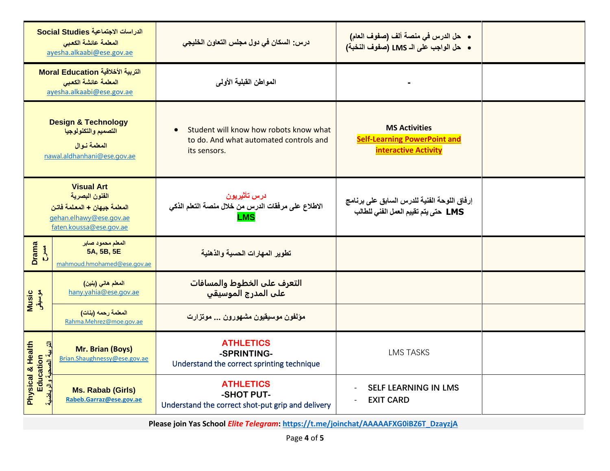|                                                                                        | الدراسات الاجتماعية Social Studies<br>المعلمة عائشة الكعبى<br>ayesha.alkaabi@ese.gov.ae                                   | درس: السكان في دول مجلس التعاون الخليجي                                                          | •    حل الدرس في منصة ألف (صفوف العام)<br>• حل الواجب على الـ LMS (صفوف النخبة)            |  |
|----------------------------------------------------------------------------------------|---------------------------------------------------------------------------------------------------------------------------|--------------------------------------------------------------------------------------------------|--------------------------------------------------------------------------------------------|--|
| التربية الأخلاقية Moral Education<br>المعلمة عائشة الكعبي<br>ayesha.alkaabi@ese.gov.ae |                                                                                                                           | المواطن القبلية الأولى                                                                           |                                                                                            |  |
|                                                                                        | <b>Design &amp; Technology</b><br>التصميم والتكنولوجيا<br>المعلمة نوال<br>nawal.aldhanhani@ese.gov.ae                     | Student will know how robots know what<br>to do. And what automated controls and<br>its sensors. | <b>MS Activities</b><br><b>Self-Learning PowerPoint and</b><br><b>interactive Activity</b> |  |
|                                                                                        | <b>Visual Art</b><br>الفنون البصرية<br>المعلمة جيهان + المعلمة فاتن<br>gehan.elhawy@ese.gov.ae<br>faten.koussa@ese.gov.ae | درس تأثيريون<br>الاطلاع على مرفقات الدرس من خلال منصة التعلم الذكي<br>LMS                        | إرفاق اللوحة الفنية للدرس السابق على برنامج<br>LMS حتى يتم تقييم العمل الفني للطالب        |  |
| <b>Drama</b><br>$\sum_{i=1}^{n}$                                                       | المعلم محمود صابر<br>5A, 5B, 5E<br>mahmoud.hmohamed@ese.gov.ae                                                            | تطوير المهارات الحسية والذهنية                                                                   |                                                                                            |  |
| <mark>of Wusic</mark><br>موسیقی                                                        | المعلم هاني (بنين)<br>hany.yahia@ese.gov.ae                                                                               | التعرف على الخطوط والمسافات<br>علب المدرج الموسيقب                                               |                                                                                            |  |
|                                                                                        | المعلمة رحمه (بنات)<br>Rahma.Mehrez@moe.gov.ae                                                                            | مؤلفون موسيقيون مشهورون  موتزارت                                                                 |                                                                                            |  |
| Physical & Health<br>التا بية الصد<br>Education                                        | Mr. Brian (Boys)<br>Brian.Shaughnessy@ese.gov.ae                                                                          | <b>ATHLETICS</b><br>-SPRINTING-<br>Understand the correct sprinting technique                    | <b>LMS TASKS</b>                                                                           |  |
| و الر ياضنا                                                                            | <b>Ms. Rabab (Girls)</b><br>Rabeb.Garraz@ese.gov.ae                                                                       | <b>ATHLETICS</b><br>-SHOT PUT-<br>Understand the correct shot-put grip and delivery              | <b>SELF LEARNING IN LMS</b><br><b>EXIT CARD</b>                                            |  |

**Please join Yas School** *Elite Telegram***: [https://t.me/joinchat/AAAAAFXG0iBZ6T\\_DzayzjA](https://t.me/joinchat/AAAAAFXG0iBZ6T_DzayzjA)**